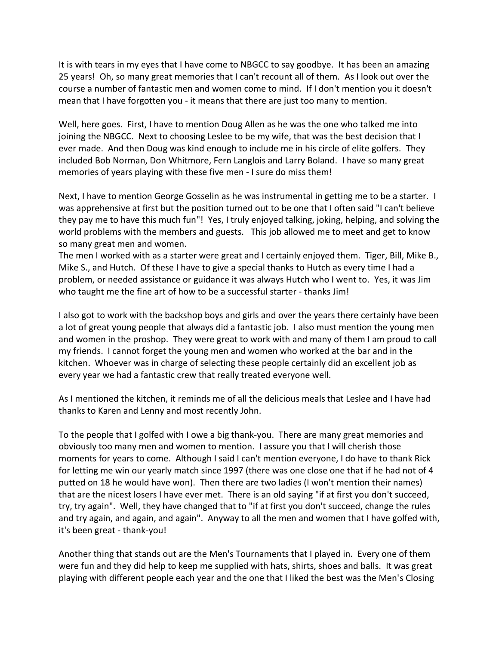It is with tears in my eyes that I have come to NBGCC to say goodbye. It has been an amazing 25 years! Oh, so many great memories that I can't recount all of them. As I look out over the course a number of fantastic men and women come to mind. If I don't mention you it doesn't mean that I have forgotten you - it means that there are just too many to mention.

Well, here goes. First, I have to mention Doug Allen as he was the one who talked me into joining the NBGCC. Next to choosing Leslee to be my wife, that was the best decision that I ever made. And then Doug was kind enough to include me in his circle of elite golfers. They included Bob Norman, Don Whitmore, Fern Langlois and Larry Boland. I have so many great memories of years playing with these five men - I sure do miss them!

Next, I have to mention George Gosselin as he was instrumental in getting me to be a starter. I was apprehensive at first but the position turned out to be one that I often said "I can't believe they pay me to have this much fun"! Yes, I truly enjoyed talking, joking, helping, and solving the world problems with the members and guests. This job allowed me to meet and get to know so many great men and women.

The men I worked with as a starter were great and I certainly enjoyed them. Tiger, Bill, Mike B., Mike S., and Hutch. Of these I have to give a special thanks to Hutch as every time I had a problem, or needed assistance or guidance it was always Hutch who I went to. Yes, it was Jim who taught me the fine art of how to be a successful starter - thanks Jim!

I also got to work with the backshop boys and girls and over the years there certainly have been a lot of great young people that always did a fantastic job. I also must mention the young men and women in the proshop. They were great to work with and many of them I am proud to call my friends. I cannot forget the young men and women who worked at the bar and in the kitchen. Whoever was in charge of selecting these people certainly did an excellent job as every year we had a fantastic crew that really treated everyone well.

As I mentioned the kitchen, it reminds me of all the delicious meals that Leslee and I have had thanks to Karen and Lenny and most recently John.

To the people that I golfed with I owe a big thank-you. There are many great memories and obviously too many men and women to mention. I assure you that I will cherish those moments for years to come. Although I said I can't mention everyone, I do have to thank Rick for letting me win our yearly match since 1997 (there was one close one that if he had not of 4 putted on 18 he would have won). Then there are two ladies (I won't mention their names) that are the nicest losers I have ever met. There is an old saying "if at first you don't succeed, try, try again". Well, they have changed that to "if at first you don't succeed, change the rules and try again, and again, and again". Anyway to all the men and women that I have golfed with, it's been great - thank-you!

Another thing that stands out are the Men's Tournaments that I played in. Every one of them were fun and they did help to keep me supplied with hats, shirts, shoes and balls. It was great playing with different people each year and the one that I liked the best was the Men's Closing